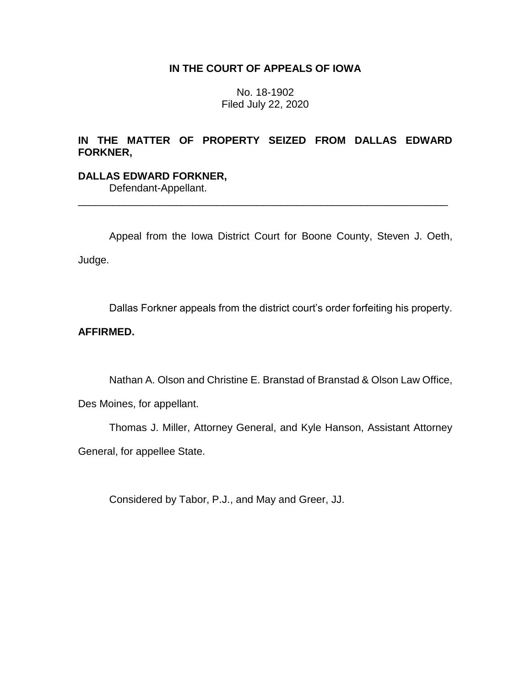## **IN THE COURT OF APPEALS OF IOWA**

No. 18-1902 Filed July 22, 2020

# **IN THE MATTER OF PROPERTY SEIZED FROM DALLAS EDWARD FORKNER,**

# **DALLAS EDWARD FORKNER,**

Defendant-Appellant.

Appeal from the Iowa District Court for Boone County, Steven J. Oeth, Judge.

\_\_\_\_\_\_\_\_\_\_\_\_\_\_\_\_\_\_\_\_\_\_\_\_\_\_\_\_\_\_\_\_\_\_\_\_\_\_\_\_\_\_\_\_\_\_\_\_\_\_\_\_\_\_\_\_\_\_\_\_\_\_\_\_

Dallas Forkner appeals from the district court's order forfeiting his property.

# **AFFIRMED.**

Nathan A. Olson and Christine E. Branstad of Branstad & Olson Law Office,

Des Moines, for appellant.

Thomas J. Miller, Attorney General, and Kyle Hanson, Assistant Attorney General, for appellee State.

Considered by Tabor, P.J., and May and Greer, JJ.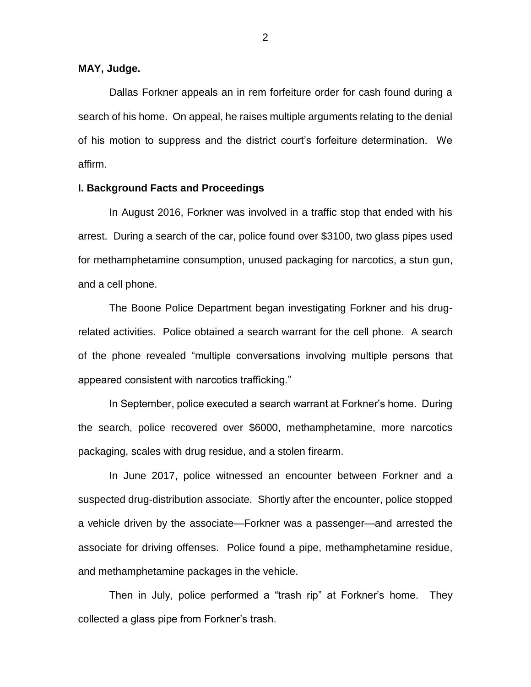**MAY, Judge.**

Dallas Forkner appeals an in rem forfeiture order for cash found during a search of his home. On appeal, he raises multiple arguments relating to the denial of his motion to suppress and the district court's forfeiture determination. We affirm.

## **I. Background Facts and Proceedings**

In August 2016, Forkner was involved in a traffic stop that ended with his arrest. During a search of the car, police found over \$3100, two glass pipes used for methamphetamine consumption, unused packaging for narcotics, a stun gun, and a cell phone.

The Boone Police Department began investigating Forkner and his drugrelated activities. Police obtained a search warrant for the cell phone. A search of the phone revealed "multiple conversations involving multiple persons that appeared consistent with narcotics trafficking."

In September, police executed a search warrant at Forkner's home. During the search, police recovered over \$6000, methamphetamine, more narcotics packaging, scales with drug residue, and a stolen firearm.

In June 2017, police witnessed an encounter between Forkner and a suspected drug-distribution associate. Shortly after the encounter, police stopped a vehicle driven by the associate—Forkner was a passenger—and arrested the associate for driving offenses. Police found a pipe, methamphetamine residue, and methamphetamine packages in the vehicle.

Then in July, police performed a "trash rip" at Forkner's home. They collected a glass pipe from Forkner's trash.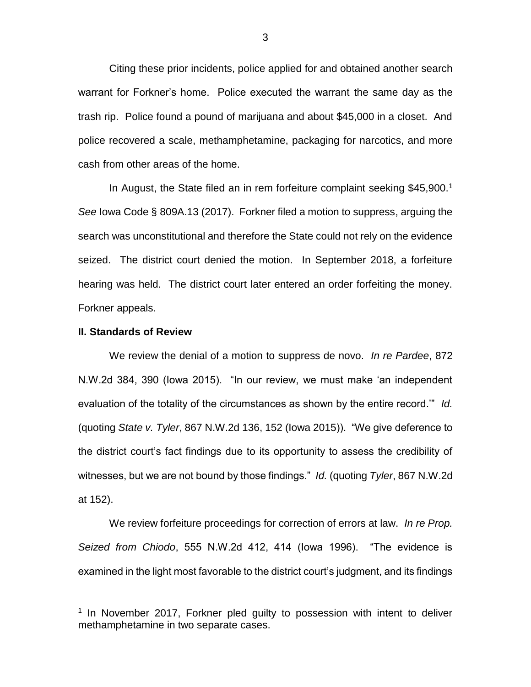Citing these prior incidents, police applied for and obtained another search warrant for Forkner's home. Police executed the warrant the same day as the trash rip. Police found a pound of marijuana and about \$45,000 in a closet. And police recovered a scale, methamphetamine, packaging for narcotics, and more cash from other areas of the home.

In August, the State filed an in rem forfeiture complaint seeking \$45,900.<sup>1</sup> *See* Iowa Code § 809A.13 (2017). Forkner filed a motion to suppress, arguing the search was unconstitutional and therefore the State could not rely on the evidence seized. The district court denied the motion. In September 2018, a forfeiture hearing was held. The district court later entered an order forfeiting the money. Forkner appeals.

#### **II. Standards of Review**

 $\overline{a}$ 

We review the denial of a motion to suppress de novo. *In re Pardee*, 872 N.W.2d 384, 390 (Iowa 2015). "In our review, we must make 'an independent evaluation of the totality of the circumstances as shown by the entire record.'" *Id.*  (quoting *State v. Tyler*, 867 N.W.2d 136, 152 (Iowa 2015)). "We give deference to the district court's fact findings due to its opportunity to assess the credibility of witnesses, but we are not bound by those findings." *Id.* (quoting *Tyler*, 867 N.W.2d at 152).

We review forfeiture proceedings for correction of errors at law. *In re Prop. Seized from Chiodo*, 555 N.W.2d 412, 414 (Iowa 1996). "The evidence is examined in the light most favorable to the district court's judgment, and its findings

<sup>&</sup>lt;sup>1</sup> In November 2017, Forkner pled guilty to possession with intent to deliver methamphetamine in two separate cases.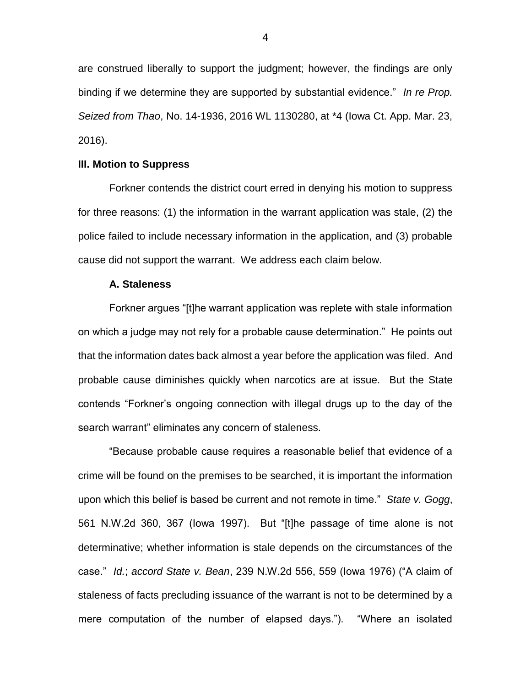are construed liberally to support the judgment; however, the findings are only binding if we determine they are supported by substantial evidence." *In re Prop. Seized from Thao*, No. 14-1936, 2016 WL 1130280, at \*4 (Iowa Ct. App. Mar. 23, 2016).

## **III. Motion to Suppress**

Forkner contends the district court erred in denying his motion to suppress for three reasons: (1) the information in the warrant application was stale, (2) the police failed to include necessary information in the application, and (3) probable cause did not support the warrant. We address each claim below.

#### **A. Staleness**

Forkner argues "[t]he warrant application was replete with stale information on which a judge may not rely for a probable cause determination." He points out that the information dates back almost a year before the application was filed. And probable cause diminishes quickly when narcotics are at issue. But the State contends "Forkner's ongoing connection with illegal drugs up to the day of the search warrant" eliminates any concern of staleness.

"Because probable cause requires a reasonable belief that evidence of a crime will be found on the premises to be searched, it is important the information upon which this belief is based be current and not remote in time." *State v. Gogg*, 561 N.W.2d 360, 367 (Iowa 1997). But "[t]he passage of time alone is not determinative; whether information is stale depends on the circumstances of the case." *Id.*; *accord State v. Bean*, 239 N.W.2d 556, 559 (Iowa 1976) ("A claim of staleness of facts precluding issuance of the warrant is not to be determined by a mere computation of the number of elapsed days."). "Where an isolated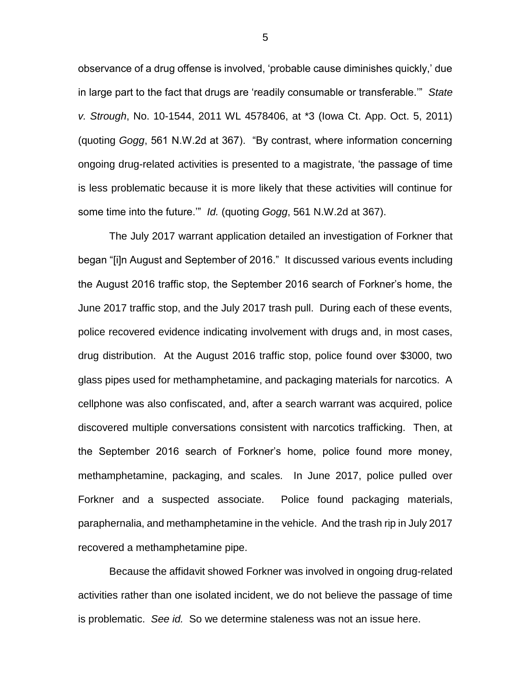observance of a drug offense is involved, 'probable cause diminishes quickly,' due in large part to the fact that drugs are 'readily consumable or transferable.'" *State v. Strough*, No. 10-1544, 2011 WL 4578406, at \*3 (Iowa Ct. App. Oct. 5, 2011) (quoting *Gogg*, 561 N.W.2d at 367). "By contrast, where information concerning ongoing drug-related activities is presented to a magistrate, 'the passage of time is less problematic because it is more likely that these activities will continue for some time into the future.'" *Id.* (quoting *Gogg*, 561 N.W.2d at 367).

The July 2017 warrant application detailed an investigation of Forkner that began "[i]n August and September of 2016." It discussed various events including the August 2016 traffic stop, the September 2016 search of Forkner's home, the June 2017 traffic stop, and the July 2017 trash pull. During each of these events, police recovered evidence indicating involvement with drugs and, in most cases, drug distribution. At the August 2016 traffic stop, police found over \$3000, two glass pipes used for methamphetamine, and packaging materials for narcotics. A cellphone was also confiscated, and, after a search warrant was acquired, police discovered multiple conversations consistent with narcotics trafficking. Then, at the September 2016 search of Forkner's home, police found more money, methamphetamine, packaging, and scales. In June 2017, police pulled over Forkner and a suspected associate. Police found packaging materials, paraphernalia, and methamphetamine in the vehicle. And the trash rip in July 2017 recovered a methamphetamine pipe.

Because the affidavit showed Forkner was involved in ongoing drug-related activities rather than one isolated incident, we do not believe the passage of time is problematic. *See id.* So we determine staleness was not an issue here.

5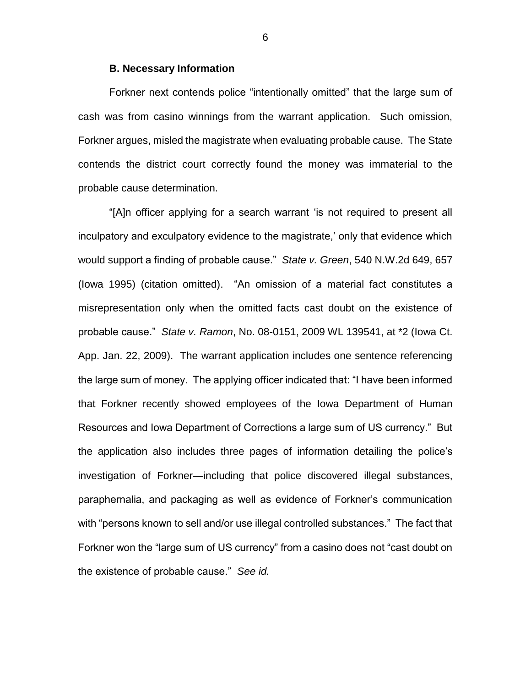## **B. Necessary Information**

Forkner next contends police "intentionally omitted" that the large sum of cash was from casino winnings from the warrant application. Such omission, Forkner argues, misled the magistrate when evaluating probable cause. The State contends the district court correctly found the money was immaterial to the probable cause determination.

"[A]n officer applying for a search warrant 'is not required to present all inculpatory and exculpatory evidence to the magistrate,' only that evidence which would support a finding of probable cause." *State v. Green*, 540 N.W.2d 649, 657 (Iowa 1995) (citation omitted). "An omission of a material fact constitutes a misrepresentation only when the omitted facts cast doubt on the existence of probable cause." *State v. Ramon*, No. 08-0151, 2009 WL 139541, at \*2 (Iowa Ct. App. Jan. 22, 2009). The warrant application includes one sentence referencing the large sum of money. The applying officer indicated that: "I have been informed that Forkner recently showed employees of the Iowa Department of Human Resources and Iowa Department of Corrections a large sum of US currency." But the application also includes three pages of information detailing the police's investigation of Forkner—including that police discovered illegal substances, paraphernalia, and packaging as well as evidence of Forkner's communication with "persons known to sell and/or use illegal controlled substances." The fact that Forkner won the "large sum of US currency" from a casino does not "cast doubt on the existence of probable cause." *See id.*

6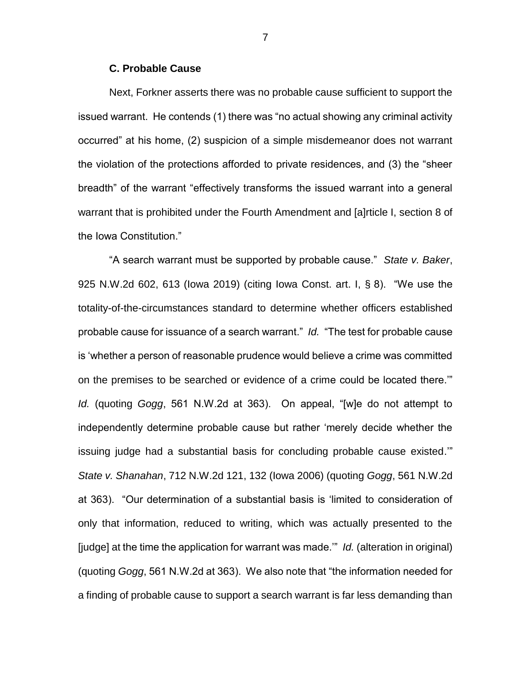### **C. Probable Cause**

Next, Forkner asserts there was no probable cause sufficient to support the issued warrant. He contends (1) there was "no actual showing any criminal activity occurred" at his home, (2) suspicion of a simple misdemeanor does not warrant the violation of the protections afforded to private residences, and (3) the "sheer breadth" of the warrant "effectively transforms the issued warrant into a general warrant that is prohibited under the Fourth Amendment and [a]rticle I, section 8 of the Iowa Constitution."

"A search warrant must be supported by probable cause." *State v. Baker*, 925 N.W.2d 602, 613 (Iowa 2019) (citing Iowa Const. art. I, § 8). "We use the totality-of-the-circumstances standard to determine whether officers established probable cause for issuance of a search warrant." *Id.* "The test for probable cause is 'whether a person of reasonable prudence would believe a crime was committed on the premises to be searched or evidence of a crime could be located there.'" *Id.* (quoting *Gogg*, 561 N.W.2d at 363). On appeal, "[w]e do not attempt to independently determine probable cause but rather 'merely decide whether the issuing judge had a substantial basis for concluding probable cause existed.'" *State v. Shanahan*, 712 N.W.2d 121, 132 (Iowa 2006) (quoting *Gogg*, 561 N.W.2d at 363). "Our determination of a substantial basis is 'limited to consideration of only that information, reduced to writing, which was actually presented to the [judge] at the time the application for warrant was made.'" *Id.* (alteration in original) (quoting *Gogg*, 561 N.W.2d at 363). We also note that "the information needed for a finding of probable cause to support a search warrant is far less demanding than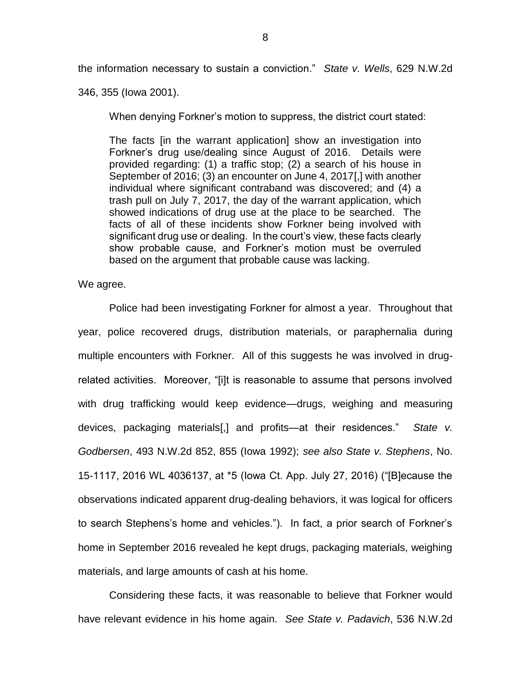the information necessary to sustain a conviction." *State v. Wells*, 629 N.W.2d

346, 355 (Iowa 2001).

When denying Forkner's motion to suppress, the district court stated:

The facts [in the warrant application] show an investigation into Forkner's drug use/dealing since August of 2016. Details were provided regarding: (1) a traffic stop; (2) a search of his house in September of 2016; (3) an encounter on June 4, 2017[,] with another individual where significant contraband was discovered; and (4) a trash pull on July 7, 2017, the day of the warrant application, which showed indications of drug use at the place to be searched. The facts of all of these incidents show Forkner being involved with significant drug use or dealing. In the court's view, these facts clearly show probable cause, and Forkner's motion must be overruled based on the argument that probable cause was lacking.

We agree.

Police had been investigating Forkner for almost a year. Throughout that year, police recovered drugs, distribution materials, or paraphernalia during multiple encounters with Forkner. All of this suggests he was involved in drugrelated activities. Moreover, "[i]t is reasonable to assume that persons involved with drug trafficking would keep evidence—drugs, weighing and measuring devices, packaging materials[,] and profits—at their residences." *State v. Godbersen*, 493 N.W.2d 852, 855 (Iowa 1992); *see also State v. Stephens*, No. 15-1117, 2016 WL 4036137, at \*5 (Iowa Ct. App. July 27, 2016) ("[B]ecause the observations indicated apparent drug-dealing behaviors, it was logical for officers to search Stephens's home and vehicles."). In fact, a prior search of Forkner's home in September 2016 revealed he kept drugs, packaging materials, weighing materials, and large amounts of cash at his home.

Considering these facts, it was reasonable to believe that Forkner would have relevant evidence in his home again. *See State v. Padavich*, 536 N.W.2d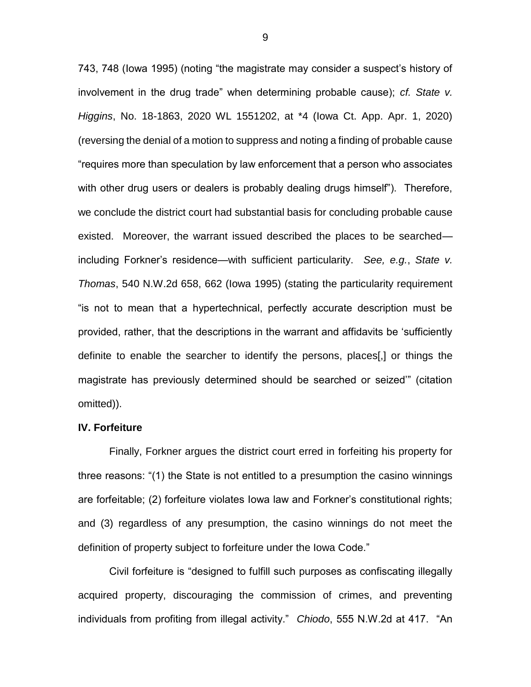743, 748 (Iowa 1995) (noting "the magistrate may consider a suspect's history of involvement in the drug trade" when determining probable cause); *cf. State v. Higgins*, No. 18-1863, 2020 WL 1551202, at \*4 (Iowa Ct. App. Apr. 1, 2020) (reversing the denial of a motion to suppress and noting a finding of probable cause "requires more than speculation by law enforcement that a person who associates with other drug users or dealers is probably dealing drugs himself"). Therefore, we conclude the district court had substantial basis for concluding probable cause existed. Moreover, the warrant issued described the places to be searched including Forkner's residence—with sufficient particularity. *See, e.g.*, *State v. Thomas*, 540 N.W.2d 658, 662 (Iowa 1995) (stating the particularity requirement "is not to mean that a hypertechnical, perfectly accurate description must be provided, rather, that the descriptions in the warrant and affidavits be 'sufficiently definite to enable the searcher to identify the persons, places[,] or things the magistrate has previously determined should be searched or seized'" (citation omitted)).

#### **IV. Forfeiture**

Finally, Forkner argues the district court erred in forfeiting his property for three reasons: "(1) the State is not entitled to a presumption the casino winnings are forfeitable; (2) forfeiture violates Iowa law and Forkner's constitutional rights; and (3) regardless of any presumption, the casino winnings do not meet the definition of property subject to forfeiture under the Iowa Code."

Civil forfeiture is "designed to fulfill such purposes as confiscating illegally acquired property, discouraging the commission of crimes, and preventing individuals from profiting from illegal activity." *Chiodo*, 555 N.W.2d at 417. "An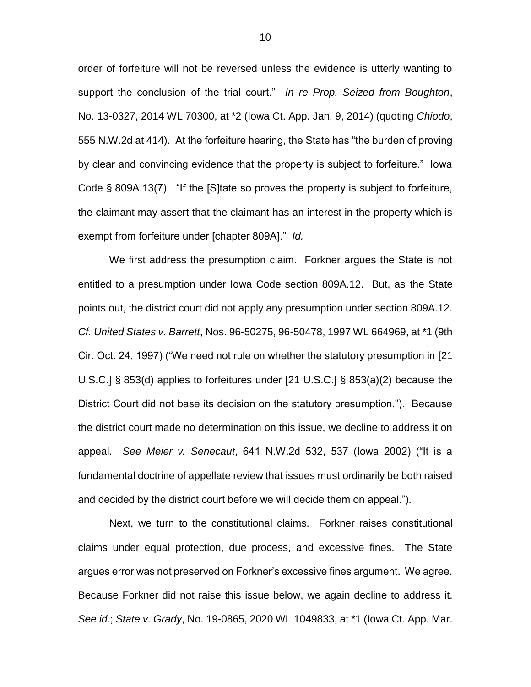order of forfeiture will not be reversed unless the evidence is utterly wanting to support the conclusion of the trial court." *In re Prop. Seized from Boughton*, No. 13-0327, 2014 WL 70300, at \*2 (Iowa Ct. App. Jan. 9, 2014) (quoting *Chiodo*, 555 N.W.2d at 414). At the forfeiture hearing, the State has "the burden of proving by clear and convincing evidence that the property is subject to forfeiture." Iowa Code § 809A.13(7). "If the [S]tate so proves the property is subject to forfeiture, the claimant may assert that the claimant has an interest in the property which is exempt from forfeiture under [chapter 809A]." *Id.*

We first address the presumption claim. Forkner argues the State is not entitled to a presumption under Iowa Code section 809A.12. But, as the State points out, the district court did not apply any presumption under section 809A.12. *Cf. United States v. Barrett*, Nos. 96-50275, 96-50478, 1997 WL 664969, at \*1 (9th Cir. Oct. 24, 1997) ("We need not rule on whether the statutory presumption in [21 U.S.C.] § 853(d) applies to forfeitures under [21 U.S.C.] § 853(a)(2) because the District Court did not base its decision on the statutory presumption."). Because the district court made no determination on this issue, we decline to address it on appeal. *See Meier v. Senecaut*, 641 N.W.2d 532, 537 (Iowa 2002) ("It is a fundamental doctrine of appellate review that issues must ordinarily be both raised and decided by the district court before we will decide them on appeal.").

Next, we turn to the constitutional claims. Forkner raises constitutional claims under equal protection, due process, and excessive fines. The State argues error was not preserved on Forkner's excessive fines argument. We agree. Because Forkner did not raise this issue below, we again decline to address it. *See id.*; *State v. Grady*, No. 19-0865, 2020 WL 1049833, at \*1 (Iowa Ct. App. Mar.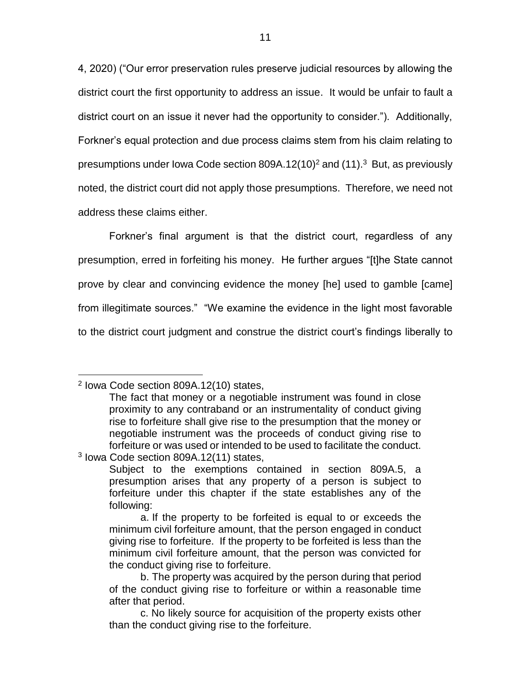4, 2020) ("Our error preservation rules preserve judicial resources by allowing the district court the first opportunity to address an issue. It would be unfair to fault a district court on an issue it never had the opportunity to consider."). Additionally, Forkner's equal protection and due process claims stem from his claim relating to presumptions under Iowa Code section 809A.12(10)<sup>2</sup> and (11). $3$  But, as previously noted, the district court did not apply those presumptions. Therefore, we need not address these claims either.

Forkner's final argument is that the district court, regardless of any presumption, erred in forfeiting his money. He further argues "[t]he State cannot prove by clear and convincing evidence the money [he] used to gamble [came] from illegitimate sources." "We examine the evidence in the light most favorable to the district court judgment and construe the district court's findings liberally to

 $\overline{a}$ 

<sup>2</sup> Iowa Code section 809A.12(10) states,

The fact that money or a negotiable instrument was found in close proximity to any contraband or an instrumentality of conduct giving rise to forfeiture shall give rise to the presumption that the money or negotiable instrument was the proceeds of conduct giving rise to forfeiture or was used or intended to be used to facilitate the conduct. 3 Iowa Code section 809A.12(11) states,

Subject to the exemptions contained in section 809A.5, a presumption arises that any property of a person is subject to forfeiture under this chapter if the state establishes any of the following:

a. If the property to be forfeited is equal to or exceeds the minimum civil forfeiture amount, that the person engaged in conduct giving rise to forfeiture. If the property to be forfeited is less than the minimum civil forfeiture amount, that the person was convicted for the conduct giving rise to forfeiture.

b. The property was acquired by the person during that period of the conduct giving rise to forfeiture or within a reasonable time after that period.

c. No likely source for acquisition of the property exists other than the conduct giving rise to the forfeiture.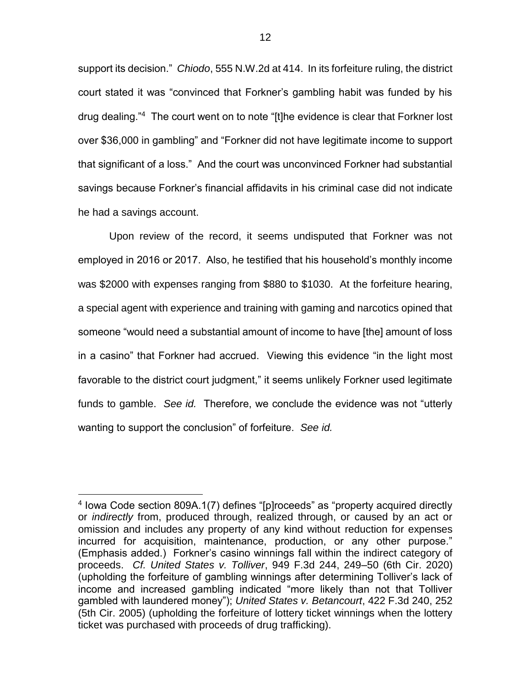support its decision." *Chiodo*, 555 N.W.2d at 414. In its forfeiture ruling, the district court stated it was "convinced that Forkner's gambling habit was funded by his drug dealing."<sup>4</sup> The court went on to note "[t]he evidence is clear that Forkner lost over \$36,000 in gambling" and "Forkner did not have legitimate income to support that significant of a loss." And the court was unconvinced Forkner had substantial savings because Forkner's financial affidavits in his criminal case did not indicate he had a savings account.

Upon review of the record, it seems undisputed that Forkner was not employed in 2016 or 2017. Also, he testified that his household's monthly income was \$2000 with expenses ranging from \$880 to \$1030. At the forfeiture hearing, a special agent with experience and training with gaming and narcotics opined that someone "would need a substantial amount of income to have [the] amount of loss in a casino" that Forkner had accrued. Viewing this evidence "in the light most favorable to the district court judgment," it seems unlikely Forkner used legitimate funds to gamble. *See id.* Therefore, we conclude the evidence was not "utterly wanting to support the conclusion" of forfeiture. *See id.*

 $\overline{a}$ 

<sup>4</sup> Iowa Code section 809A.1(7) defines "[p]roceeds" as "property acquired directly or *indirectly* from, produced through, realized through, or caused by an act or omission and includes any property of any kind without reduction for expenses incurred for acquisition, maintenance, production, or any other purpose." (Emphasis added.) Forkner's casino winnings fall within the indirect category of proceeds. *Cf. United States v. Tolliver*, 949 F.3d 244, 249–50 (6th Cir. 2020) (upholding the forfeiture of gambling winnings after determining Tolliver's lack of income and increased gambling indicated "more likely than not that Tolliver gambled with laundered money"); *United States v. Betancourt*, 422 F.3d 240, 252 (5th Cir. 2005) (upholding the forfeiture of lottery ticket winnings when the lottery ticket was purchased with proceeds of drug trafficking).